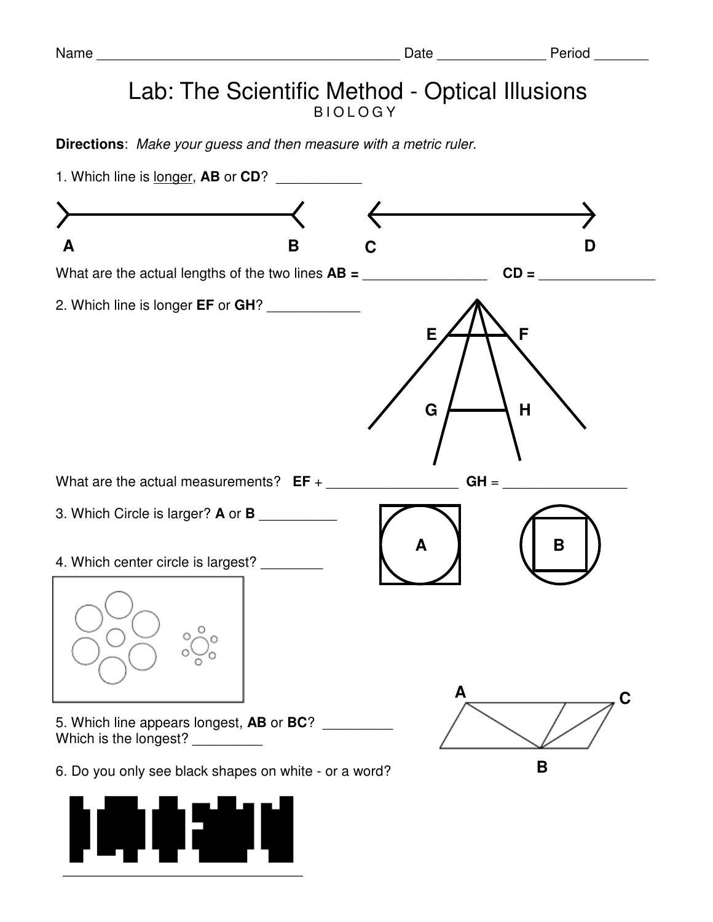## Lab: The Scientific Method - Optical Illusions **BIOLOGY**

**Directions**: Make your guess and then measure with a metric ruler.